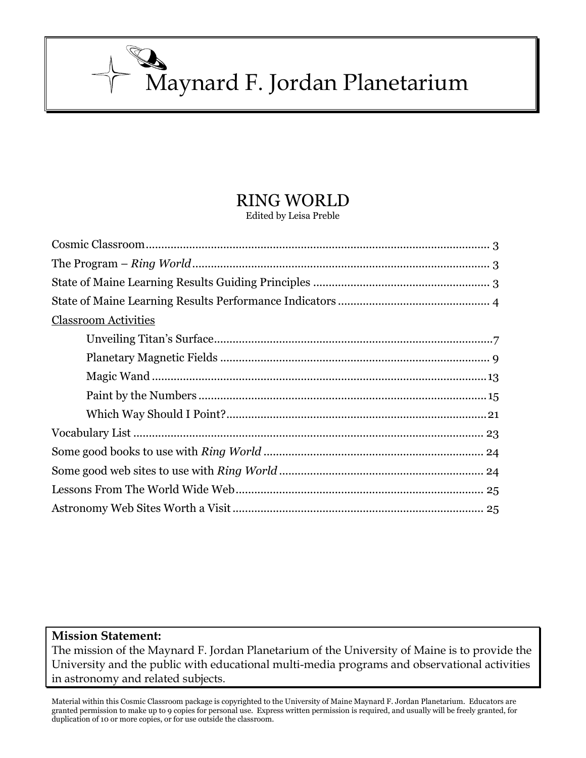Maynard F. Jordan Planetarium

# RING WORLD

Edited by Leisa Preble

| <b>Classroom Activities</b> |
|-----------------------------|
|                             |
|                             |
|                             |
|                             |
|                             |
|                             |
|                             |
|                             |
|                             |
|                             |

# **Mission Statement:**

The mission of the Maynard F. Jordan Planetarium of the University of Maine is to provide the University and the public with educational multi-media programs and observational activities in astronomy and related subjects.

Material within this Cosmic Classroom package is copyrighted to the University of Maine Maynard F. Jordan Planetarium. Educators are granted permission to make up to 9 copies for personal use. Express written permission is required, and usually will be freely granted, for duplication of 10 or more copies, or for use outside the classroom.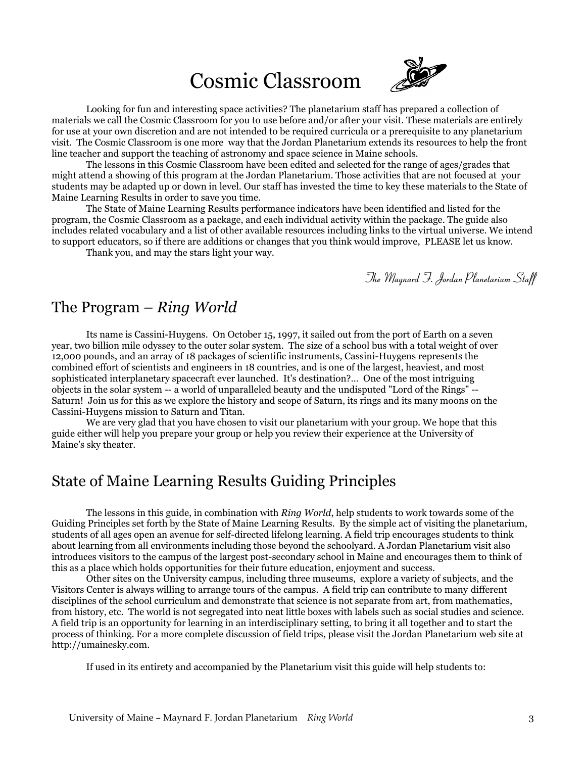# Cosmic Classroom



Looking for fun and interesting space activities? The planetarium staff has prepared a collection of materials we call the Cosmic Classroom for you to use before and/or after your visit. These materials are entirely for use at your own discretion and are not intended to be required curricula or a prerequisite to any planetarium visit. The Cosmic Classroom is one more way that the Jordan Planetarium extends its resources to help the front line teacher and support the teaching of astronomy and space science in Maine schools.

The lessons in this Cosmic Classroom have been edited and selected for the range of ages/grades that might attend a showing of this program at the Jordan Planetarium. Those activities that are not focused at your students may be adapted up or down in level. Our staff has invested the time to key these materials to the State of Maine Learning Results in order to save you time.

The State of Maine Learning Results performance indicators have been identified and listed for the program, the Cosmic Classroom as a package, and each individual activity within the package. The guide also includes related vocabulary and a list of other available resources including links to the virtual universe. We intend to support educators, so if there are additions or changes that you think would improve, PLEASE let us know.

Thank you, and may the stars light your way.

*The Maynard F. Jordan Planetarium Staff*

# The Program – *Ring World*

Its name is Cassini-Huygens. On October 15, 1997, it sailed out from the port of Earth on a seven year, two billion mile odyssey to the outer solar system. The size of a school bus with a total weight of over 12,000 pounds, and an array of 18 packages of scientific instruments, Cassini-Huygens represents the combined effort of scientists and engineers in 18 countries, and is one of the largest, heaviest, and most sophisticated interplanetary spacecraft ever launched. It's destination?… One of the most intriguing objects in the solar system -- a world of unparalleled beauty and the undisputed "Lord of the Rings" -- Saturn! Join us for this as we explore the history and scope of Saturn, its rings and its many moons on the Cassini-Huygens mission to Saturn and Titan.

We are very glad that you have chosen to visit our planetarium with your group. We hope that this guide either will help you prepare your group or help you review their experience at the University of Maine's sky theater.

# State of Maine Learning Results Guiding Principles

The lessons in this guide, in combination with *Ring World*, help students to work towards some of the Guiding Principles set forth by the State of Maine Learning Results. By the simple act of visiting the planetarium, students of all ages open an avenue for self-directed lifelong learning. A field trip encourages students to think about learning from all environments including those beyond the schoolyard. A Jordan Planetarium visit also introduces visitors to the campus of the largest post-secondary school in Maine and encourages them to think of this as a place which holds opportunities for their future education, enjoyment and success.

Other sites on the University campus, including three museums, explore a variety of subjects, and the Visitors Center is always willing to arrange tours of the campus. A field trip can contribute to many different disciplines of the school curriculum and demonstrate that science is not separate from art, from mathematics, from history, etc. The world is not segregated into neat little boxes with labels such as social studies and science. A field trip is an opportunity for learning in an interdisciplinary setting, to bring it all together and to start the process of thinking. For a more complete discussion of field trips, please visit the Jordan Planetarium web site at http://umainesky.com.

If used in its entirety and accompanied by the Planetarium visit this guide will help students to: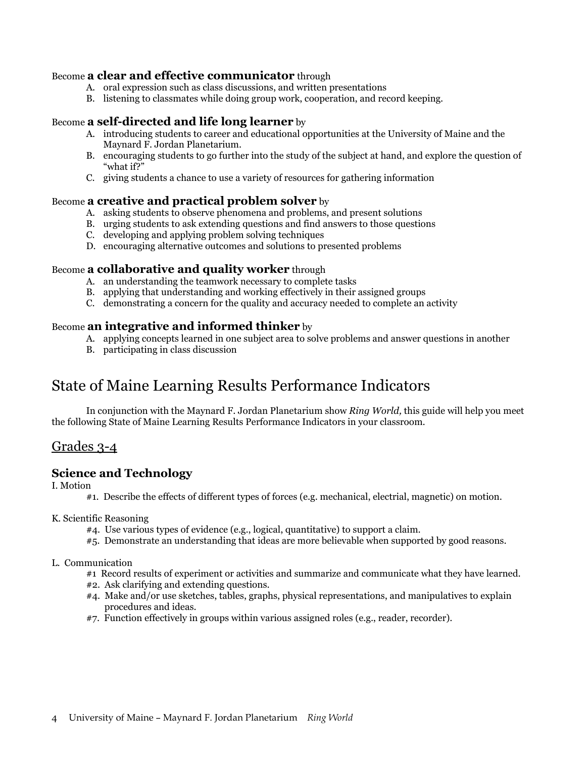### Become **a clear and effective communicator** through

- A. oral expression such as class discussions, and written presentations
- B. listening to classmates while doing group work, cooperation, and record keeping.

### Become **a self-directed and life long learner** by

- A. introducing students to career and educational opportunities at the University of Maine and the Maynard F. Jordan Planetarium.
- B. encouraging students to go further into the study of the subject at hand, and explore the question of "what if?"
- C. giving students a chance to use a variety of resources for gathering information

### Become **a creative and practical problem solver** by

- A. asking students to observe phenomena and problems, and present solutions
- B. urging students to ask extending questions and find answers to those questions
- C. developing and applying problem solving techniques
- D. encouraging alternative outcomes and solutions to presented problems

#### Become **a collaborative and quality worker** through

- A. an understanding the teamwork necessary to complete tasks
- B. applying that understanding and working effectively in their assigned groups
- C. demonstrating a concern for the quality and accuracy needed to complete an activity

#### Become **an integrative and informed thinker** by

- A. applying concepts learned in one subject area to solve problems and answer questions in another
- B. participating in class discussion

# State of Maine Learning Results Performance Indicators

In conjunction with the Maynard F. Jordan Planetarium show *Ring World,* this guide will help you meet the following State of Maine Learning Results Performance Indicators in your classroom.

## Grades 3-4

#### **Science and Technology**

I. Motion

- #1. Describe the effects of different types of forces (e.g. mechanical, electrial, magnetic) on motion.
- K. Scientific Reasoning
	- #4. Use various types of evidence (e.g., logical, quantitative) to support a claim.
	- #5. Demonstrate an understanding that ideas are more believable when supported by good reasons.

#### L. Communication

- #1 Record results of experiment or activities and summarize and communicate what they have learned.
- #2. Ask clarifying and extending questions.
- #4. Make and/or use sketches, tables, graphs, physical representations, and manipulatives to explain procedures and ideas.
- #7. Function effectively in groups within various assigned roles (e.g., reader, recorder).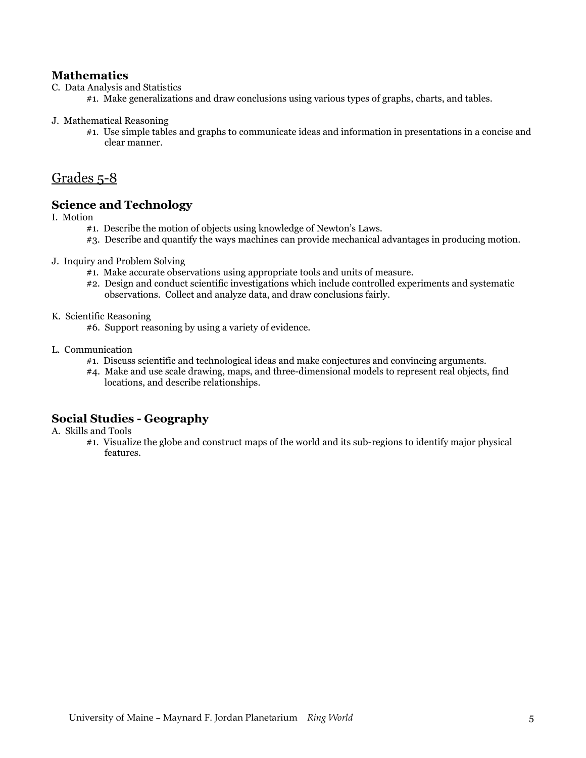## **Mathematics**

- C. Data Analysis and Statistics
	- #1. Make generalizations and draw conclusions using various types of graphs, charts, and tables.

#### J. Mathematical Reasoning

#1. Use simple tables and graphs to communicate ideas and information in presentations in a concise and clear manner.

# Grades 5-8

### **Science and Technology**

I. Motion

- #1. Describe the motion of objects using knowledge of Newton's Laws.
- #3. Describe and quantify the ways machines can provide mechanical advantages in producing motion.
- J. Inquiry and Problem Solving
	- #1. Make accurate observations using appropriate tools and units of measure.
	- #2. Design and conduct scientific investigations which include controlled experiments and systematic observations. Collect and analyze data, and draw conclusions fairly.
- K. Scientific Reasoning
	- #6. Support reasoning by using a variety of evidence.
- L. Communication
	- #1. Discuss scientific and technological ideas and make conjectures and convincing arguments.
	- #4. Make and use scale drawing, maps, and three-dimensional models to represent real objects, find locations, and describe relationships.

## **Social Studies - Geography**

A. Skills and Tools

#1. Visualize the globe and construct maps of the world and its sub-regions to identify major physical features.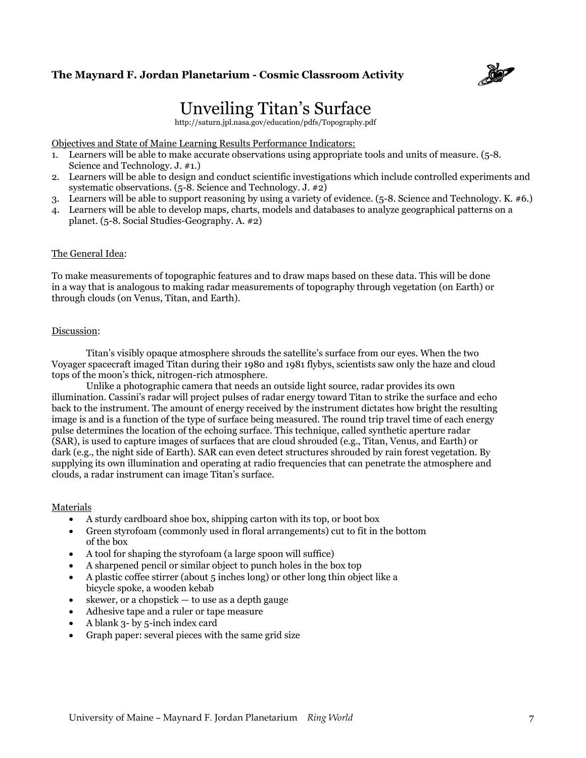

# Unveiling Titan's Surface

http://saturn.jpl.nasa.gov/education/pdfs/Topography.pdf

Objectives and State of Maine Learning Results Performance Indicators:

- 1. Learners will be able to make accurate observations using appropriate tools and units of measure. (5-8. Science and Technology. J. #1.)
- 2. Learners will be able to design and conduct scientific investigations which include controlled experiments and systematic observations. (5-8. Science and Technology. J. #2)
- 3. Learners will be able to support reasoning by using a variety of evidence.  $(5-8)$ . Science and Technology. K. #6.)
- 4. Learners will be able to develop maps, charts, models and databases to analyze geographical patterns on a planet. (5-8. Social Studies-Geography. A. #2)

#### The General Idea:

To make measurements of topographic features and to draw maps based on these data. This will be done in a way that is analogous to making radar measurements of topography through vegetation (on Earth) or through clouds (on Venus, Titan, and Earth).

#### Discussion:

Titan's visibly opaque atmosphere shrouds the satellite's surface from our eyes. When the two Voyager spacecraft imaged Titan during their 1980 and 1981 flybys, scientists saw only the haze and cloud tops of the moon's thick, nitrogen-rich atmosphere.

Unlike a photographic camera that needs an outside light source, radar provides its own illumination. Cassini's radar will project pulses of radar energy toward Titan to strike the surface and echo back to the instrument. The amount of energy received by the instrument dictates how bright the resulting image is and is a function of the type of surface being measured. The round trip travel time of each energy pulse determines the location of the echoing surface. This technique, called synthetic aperture radar (SAR), is used to capture images of surfaces that are cloud shrouded (e.g., Titan, Venus, and Earth) or dark (e.g., the night side of Earth). SAR can even detect structures shrouded by rain forest vegetation. By supplying its own illumination and operating at radio frequencies that can penetrate the atmosphere and clouds, a radar instrument can image Titan's surface.

#### Materials

- A sturdy cardboard shoe box, shipping carton with its top, or boot box
- Green styrofoam (commonly used in floral arrangements) cut to fit in the bottom of the box
- A tool for shaping the styrofoam (a large spoon will suffice)
- A sharpened pencil or similar object to punch holes in the box top
- A plastic coffee stirrer (about  $5$  inches long) or other long thin object like a bicycle spoke, a wooden kebab
- skewer, or a chopstick to use as a depth gauge
- Adhesive tape and a ruler or tape measure
- A blank 3- by 5-inch index card
- Graph paper: several pieces with the same grid size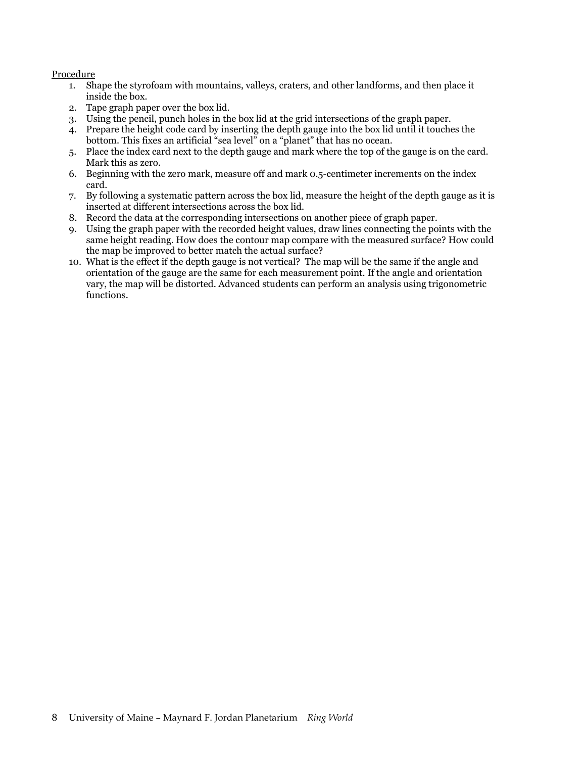#### Procedure

- 1. Shape the styrofoam with mountains, valleys, craters, and other landforms, and then place it inside the box.
- 2. Tape graph paper over the box lid.
- 3. Using the pencil, punch holes in the box lid at the grid intersections of the graph paper.
- 4. Prepare the height code card by inserting the depth gauge into the box lid until it touches the bottom. This fixes an artificial "sea level" on a "planet" that has no ocean.
- 5. Place the index card next to the depth gauge and mark where the top of the gauge is on the card. Mark this as zero.
- 6. Beginning with the zero mark, measure off and mark 0.5-centimeter increments on the index card.
- 7. By following a systematic pattern across the box lid, measure the height of the depth gauge as it is inserted at different intersections across the box lid.
- 8. Record the data at the corresponding intersections on another piece of graph paper.
- 9. Using the graph paper with the recorded height values, draw lines connecting the points with the same height reading. How does the contour map compare with the measured surface? How could the map be improved to better match the actual surface?
- 10. What is the effect if the depth gauge is not vertical? The map will be the same if the angle and orientation of the gauge are the same for each measurement point. If the angle and orientation vary, the map will be distorted. Advanced students can perform an analysis using trigonometric functions.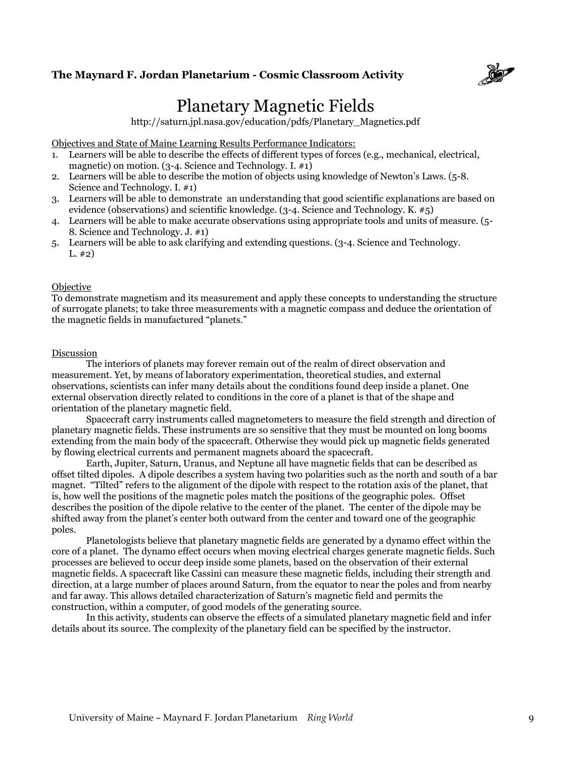

# Planetary Magnetic Fields

http://saturn.jpl.nasa.gov/education/pdfs/Planetary\_Magnetics.pdf

Objectives and State of Maine Learning Results Performance Indicators:

- 1. Learners will be able to describe the effects of different types of forces (e.g., mechanical, electrical, magnetic) on motion. (3-4. Science and Technology. I. #1)
- 2. Learners will be able to describe the motion of objects using knowledge of Newton's Laws. (5-8. Science and Technology. I. #1)
- 3. Learners will be able to demonstrate an understanding that good scientific explanations are based on evidence (observations) and scientific knowledge. (3-4. Science and Technology. K. #5)
- 4. Learners will be able to make accurate observations using appropriate tools and units of measure. (5- 8. Science and Technology. J. #1)
- 5. Learners will be able to ask clarifying and extending questions. (3-4. Science and Technology.  $L. \#2)$

#### Objective

To demonstrate magnetism and its measurement and apply these concepts to understanding the structure of surrogate planets; to take three measurements with a magnetic compass and deduce the orientation of the magnetic fields in manufactured "planets."

#### Discussion

The interiors of planets may forever remain out of the realm of direct observation and measurement. Yet, by means of laboratory experimentation, theoretical studies, and external observations, scientists can infer many details about the conditions found deep inside a planet. One external observation directly related to conditions in the core of a planet is that of the shape and orientation of the planetary magnetic field.

Spacecraft carry instruments called magnetometers to measure the field strength and direction of planetary magnetic fields. These instruments are so sensitive that they must be mounted on long booms extending from the main body of the spacecraft. Otherwise they would pick up magnetic fields generated by flowing electrical currents and permanent magnets aboard the spacecraft.

Earth, Jupiter, Saturn, Uranus, and Neptune all have magnetic fields that can be described as offset tilted dipoles. A dipole describes a system having two polarities such as the north and south of a bar magnet. "Tilted" refers to the alignment of the dipole with respect to the rotation axis of the planet, that is, how well the positions of the magnetic poles match the positions of the geographic poles. Offset describes the position of the dipole relative to the center of the planet. The center of the dipole may be shifted away from the planet's center both outward from the center and toward one of the geographic poles.

Planetologists believe that planetary magnetic fields are generated by a dynamo effect within the core of a planet. The dynamo effect occurs when moving electrical charges generate magnetic fields. Such processes are believed to occur deep inside some planets, based on the observation of their external magnetic fields. A spacecraft like Cassini can measure these magnetic fields, including their strength and direction, at a large number of places around Saturn, from the equator to near the poles and from nearby and far away. This allows detailed characterization of Saturn's magnetic field and permits the construction, within a computer, of good models of the generating source.

In this activity, students can observe the effects of a simulated planetary magnetic field and infer details about its source. The complexity of the planetary field can be specified by the instructor.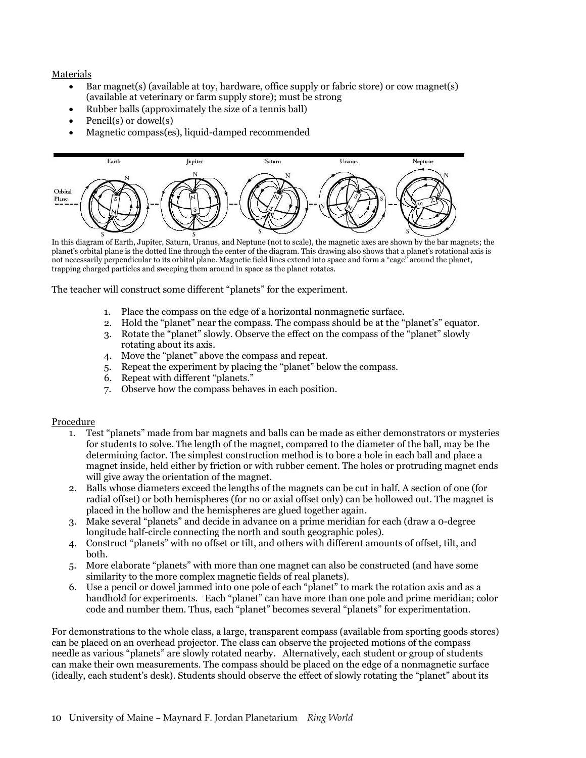#### Materials

- Bar magnet(s) (available at toy, hardware, office supply or fabric store) or cow magnet(s) (available at veterinary or farm supply store); must be strong
- Rubber balls (approximately the size of a tennis ball)
- Pencil(s) or dowel(s)
- Magnetic compass(es), liquid-damped recommended



In this diagram of Earth, Jupiter, Saturn, Uranus, and Neptune (not to scale), the magnetic axes are shown by the bar magnets; the planet's orbital plane is the dotted line through the center of the diagram. This drawing also shows that a planet's rotational axis is not necessarily perpendicular to its orbital plane. Magnetic field lines extend into space and form a "cage" around the planet, trapping charged particles and sweeping them around in space as the planet rotates.

The teacher will construct some different "planets" for the experiment.

- 1. Place the compass on the edge of a horizontal nonmagnetic surface.
- 2. Hold the "planet" near the compass. The compass should be at the "planet's" equator.
- 3. Rotate the "planet" slowly. Observe the effect on the compass of the "planet" slowly rotating about its axis.
- 4. Move the "planet" above the compass and repeat.
- 5. Repeat the experiment by placing the "planet" below the compass.
- 6. Repeat with different "planets."
- 7. Observe how the compass behaves in each position.

#### Procedure

- 1. Test "planets" made from bar magnets and balls can be made as either demonstrators or mysteries for students to solve. The length of the magnet, compared to the diameter of the ball, may be the determining factor. The simplest construction method is to bore a hole in each ball and place a magnet inside, held either by friction or with rubber cement. The holes or protruding magnet ends will give away the orientation of the magnet.
- 2. Balls whose diameters exceed the lengths of the magnets can be cut in half. A section of one (for radial offset) or both hemispheres (for no or axial offset only) can be hollowed out. The magnet is placed in the hollow and the hemispheres are glued together again.
- 3. Make several "planets" and decide in advance on a prime meridian for each (draw a 0-degree longitude half-circle connecting the north and south geographic poles).
- 4. Construct "planets" with no offset or tilt, and others with different amounts of offset, tilt, and both.
- 5. More elaborate "planets" with more than one magnet can also be constructed (and have some similarity to the more complex magnetic fields of real planets).
- 6. Use a pencil or dowel jammed into one pole of each "planet" to mark the rotation axis and as a handhold for experiments. Each "planet" can have more than one pole and prime meridian; color code and number them. Thus, each "planet" becomes several "planets" for experimentation.

For demonstrations to the whole class, a large, transparent compass (available from sporting goods stores) can be placed on an overhead projector. The class can observe the projected motions of the compass needle as various "planets" are slowly rotated nearby. Alternatively, each student or group of students can make their own measurements. The compass should be placed on the edge of a nonmagnetic surface (ideally, each student's desk). Students should observe the effect of slowly rotating the "planet" about its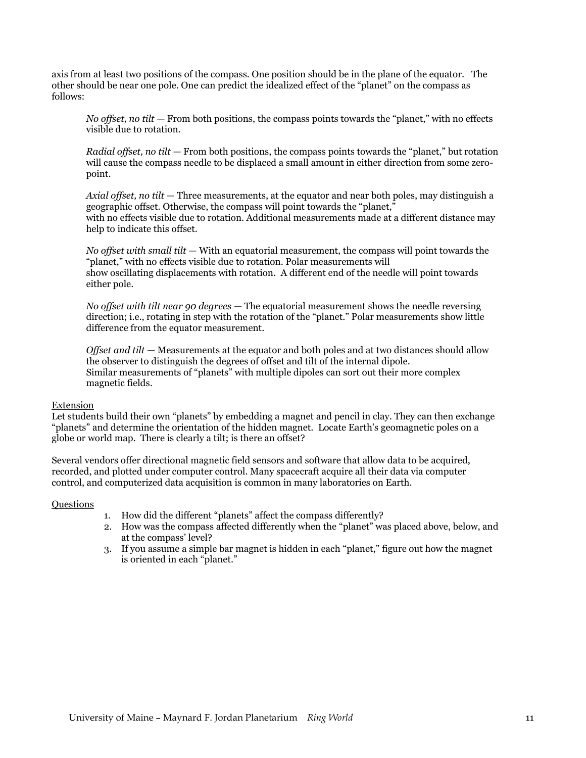axis from at least two positions of the compass. One position should be in the plane of the equator. The other should be near one pole. One can predict the idealized effect of the "planet" on the compass as follows:

*No offset, no tilt* — From both positions, the compass points towards the "planet," with no effects visible due to rotation.

*Radial offset, no tilt* — From both positions, the compass points towards the "planet," but rotation will cause the compass needle to be displaced a small amount in either direction from some zeropoint.

*Axial offset, no tilt* — Three measurements, at the equator and near both poles, may distinguish a geographic offset. Otherwise, the compass will point towards the "planet," with no effects visible due to rotation. Additional measurements made at a different distance may help to indicate this offset.

*No offset with small tilt* — With an equatorial measurement, the compass will point towards the "planet," with no effects visible due to rotation. Polar measurements will show oscillating displacements with rotation. A different end of the needle will point towards either pole.

*No offset with tilt near 90 degrees* — The equatorial measurement shows the needle reversing direction; i.e., rotating in step with the rotation of the "planet." Polar measurements show little difference from the equator measurement.

*Offset and tilt* — Measurements at the equator and both poles and at two distances should allow the observer to distinguish the degrees of offset and tilt of the internal dipole. Similar measurements of "planets" with multiple dipoles can sort out their more complex magnetic fields.

#### Extension

Let students build their own "planets" by embedding a magnet and pencil in clay. They can then exchange ―planets‖ and determine the orientation of the hidden magnet. Locate Earth's geomagnetic poles on a globe or world map. There is clearly a tilt; is there an offset?

Several vendors offer directional magnetic field sensors and software that allow data to be acquired, recorded, and plotted under computer control. Many spacecraft acquire all their data via computer control, and computerized data acquisition is common in many laboratories on Earth.

#### **Ouestions**

- 1. How did the different "planets" affect the compass differently?
- 2. How was the compass affected differently when the "planet" was placed above, below, and at the compass' level?
- 3. If you assume a simple bar magnet is hidden in each "planet," figure out how the magnet is oriented in each "planet."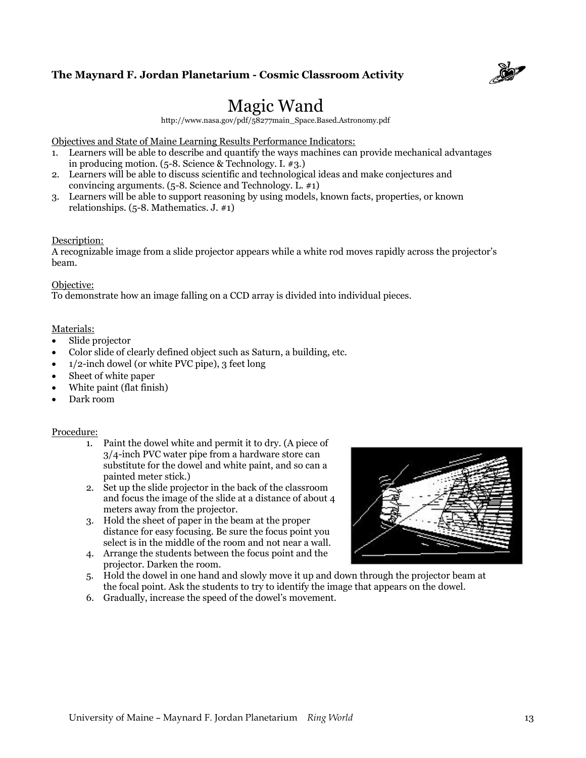

# Magic Wand

http://www.nasa.gov/pdf/58277main\_Space.Based.Astronomy.pdf

Objectives and State of Maine Learning Results Performance Indicators:

- 1. Learners will be able to describe and quantify the ways machines can provide mechanical advantages in producing motion. (5-8. Science & Technology. I. #3.)
- 2. Learners will be able to discuss scientific and technological ideas and make conjectures and convincing arguments.  $(5-8)$ . Science and Technology. L. #1)
- 3. Learners will be able to support reasoning by using models, known facts, properties, or known relationships. (5-8. Mathematics. J. #1)

#### Description:

A recognizable image from a slide projector appears while a white rod moves rapidly across the projector's beam.

#### Objective:

To demonstrate how an image falling on a CCD array is divided into individual pieces.

#### Materials:

- Slide projector
- Color slide of clearly defined object such as Saturn, a building, etc.
- 1/2-inch dowel (or white PVC pipe), 3 feet long
- Sheet of white paper
- White paint (flat finish)
- Dark room

#### Procedure:

- 1. Paint the dowel white and permit it to dry. (A piece of 3/4-inch PVC water pipe from a hardware store can substitute for the dowel and white paint, and so can a painted meter stick.)
- 2. Set up the slide projector in the back of the classroom and focus the image of the slide at a distance of about 4 meters away from the projector.
- 3. Hold the sheet of paper in the beam at the proper distance for easy focusing. Be sure the focus point you select is in the middle of the room and not near a wall.
- 4. Arrange the students between the focus point and the projector. Darken the room.
- 5. Hold the dowel in one hand and slowly move it up and down through the projector beam at the focal point. Ask the students to try to identify the image that appears on the dowel.
- 6. Gradually, increase the speed of the dowel's movement.

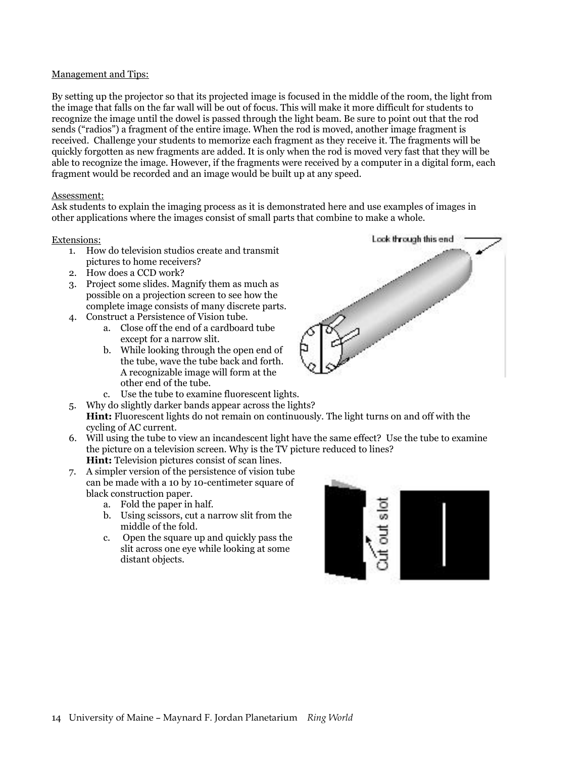#### Management and Tips:

By setting up the projector so that its projected image is focused in the middle of the room, the light from the image that falls on the far wall will be out of focus. This will make it more difficult for students to recognize the image until the dowel is passed through the light beam. Be sure to point out that the rod sends ("radios") a fragment of the entire image. When the rod is moved, another image fragment is received. Challenge your students to memorize each fragment as they receive it. The fragments will be quickly forgotten as new fragments are added. It is only when the rod is moved very fast that they will be able to recognize the image. However, if the fragments were received by a computer in a digital form, each fragment would be recorded and an image would be built up at any speed.

#### Assessment:

Ask students to explain the imaging process as it is demonstrated here and use examples of images in other applications where the images consist of small parts that combine to make a whole.

#### Extensions:

- 1. How do television studios create and transmit pictures to home receivers?
- 2. How does a CCD work?
- 3. Project some slides. Magnify them as much as possible on a projection screen to see how the complete image consists of many discrete parts.
- 4. Construct a Persistence of Vision tube.
	- a. Close off the end of a cardboard tube except for a narrow slit.
	- b. While looking through the open end of the tube, wave the tube back and forth. A recognizable image will form at the other end of the tube.
	- c. Use the tube to examine fluorescent lights.
- 5. Why do slightly darker bands appear across the lights?
- **Hint:** Fluorescent lights do not remain on continuously. The light turns on and off with the cycling of AC current.
- 6. Will using the tube to view an incandescent light have the same effect? Use the tube to examine the picture on a television screen. Why is the TV picture reduced to lines? **Hint:** Television pictures consist of scan lines.
- 7. A simpler version of the persistence of vision tube can be made with a 10 by 10-centimeter square of black construction paper.
	- a. Fold the paper in half.
	- b. Using scissors, cut a narrow slit from the middle of the fold.
	- c. Open the square up and quickly pass the slit across one eye while looking at some distant objects.



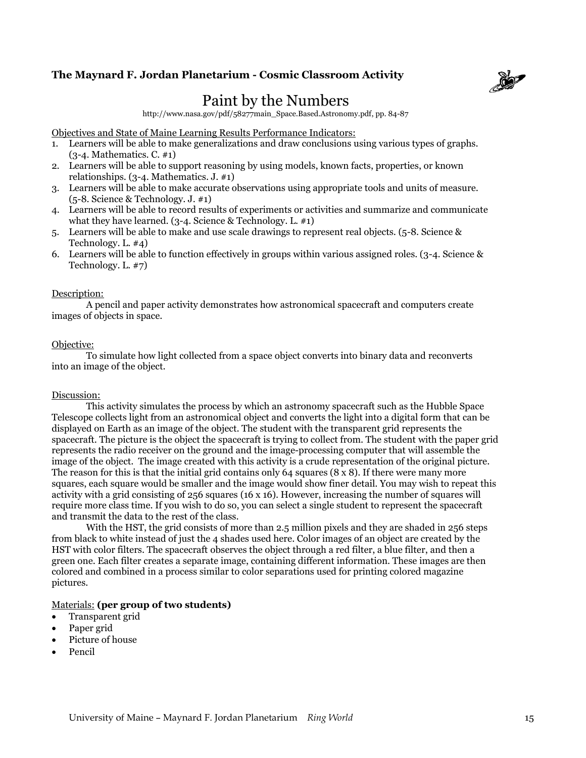

# Paint by the Numbers

http://www.nasa.gov/pdf/58277main\_Space.Based.Astronomy.pdf, pp. 84-87

Objectives and State of Maine Learning Results Performance Indicators:

- 1. Learners will be able to make generalizations and draw conclusions using various types of graphs. (3-4. Mathematics. C. #1)
- 2. Learners will be able to support reasoning by using models, known facts, properties, or known relationships. (3-4. Mathematics. J. #1)
- 3. Learners will be able to make accurate observations using appropriate tools and units of measure. (5-8. Science & Technology. J. #1)
- 4. Learners will be able to record results of experiments or activities and summarize and communicate what they have learned.  $(3-4)$ . Science & Technology. L. #1)
- 5. Learners will be able to make and use scale drawings to represent real objects. (5-8. Science & Technology. L. #4)
- 6. Learners will be able to function effectively in groups within various assigned roles. (3-4. Science & Technology. L. #7)

#### Description:

A pencil and paper activity demonstrates how astronomical spacecraft and computers create images of objects in space.

#### Objective:

To simulate how light collected from a space object converts into binary data and reconverts into an image of the object.

#### Discussion:

This activity simulates the process by which an astronomy spacecraft such as the Hubble Space Telescope collects light from an astronomical object and converts the light into a digital form that can be displayed on Earth as an image of the object. The student with the transparent grid represents the spacecraft. The picture is the object the spacecraft is trying to collect from. The student with the paper grid represents the radio receiver on the ground and the image-processing computer that will assemble the image of the object. The image created with this activity is a crude representation of the original picture. The reason for this is that the initial grid contains only  $64$  squares  $(8 \times 8)$ . If there were many more squares, each square would be smaller and the image would show finer detail. You may wish to repeat this activity with a grid consisting of 256 squares (16 x 16). However, increasing the number of squares will require more class time. If you wish to do so, you can select a single student to represent the spacecraft and transmit the data to the rest of the class.

With the HST, the grid consists of more than 2.5 million pixels and they are shaded in 256 steps from black to white instead of just the 4 shades used here. Color images of an object are created by the HST with color filters. The spacecraft observes the object through a red filter, a blue filter, and then a green one. Each filter creates a separate image, containing different information. These images are then colored and combined in a process similar to color separations used for printing colored magazine pictures.

#### Materials: **(per group of two students)**

- Transparent grid
- Paper grid
- Picture of house
- Pencil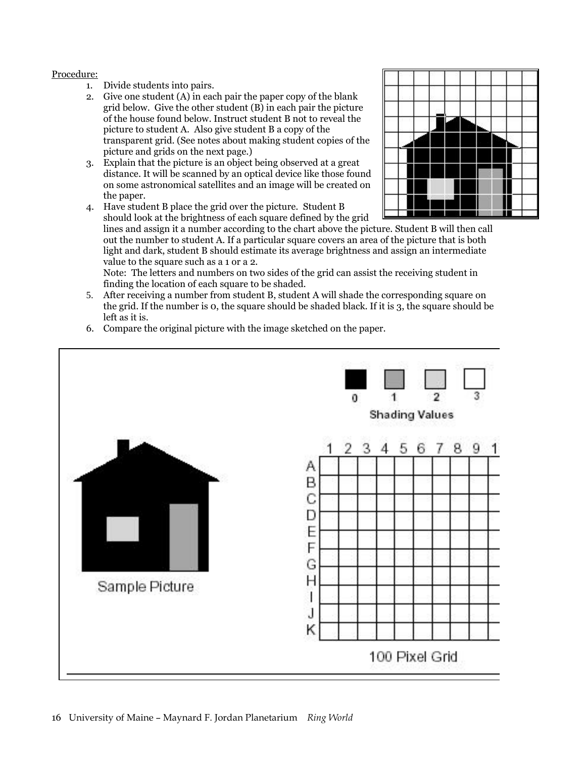#### Procedure:

- 1. Divide students into pairs.
- 2. Give one student  $(A)$  in each pair the paper copy of the blank grid below. Give the other student  $(B)$  in each pair the picture of the house found below. Instruct student B not to reveal the picture to student A. Also give student B a copy of the transparent grid. (See notes about making student copies of the picture and grids on the next page.)
- 3. Explain that the picture is an object being observed at a great distance. It will be scanned by an optical device like those found on some astronomical satellites and an image will be created on the paper.
- 4. Have student B place the grid over the picture. Student B should look at the brightness of each square defined by the grid



lines and assign it a number according to the chart above the picture. Student B will then call out the number to student A. If a particular square covers an area of the picture that is both light and dark, student B should estimate its average brightness and assign an intermediate value to the square such as a 1 or a 2.

Note: The letters and numbers on two sides of the grid can assist the receiving student in finding the location of each square to be shaded.

- 5. After receiving a number from student B, student A will shade the corresponding square on the grid. If the number is 0, the square should be shaded black. If it is 3, the square should be left as it is.
- 6. Compare the original picture with the image sketched on the paper.

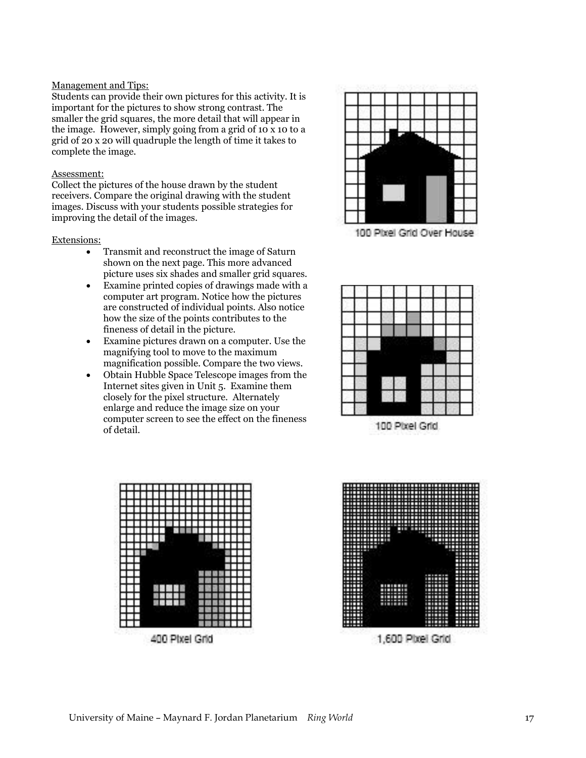#### Management and Tips:

Students can provide their own pictures for this activity. It is important for the pictures to show strong contrast. The smaller the grid squares, the more detail that will appear in the image. However, simply going from a grid of 10 x 10 to a grid of 20 x 20 will quadruple the length of time it takes to complete the image.

#### Assessment:

Collect the pictures of the house drawn by the student receivers. Compare the original drawing with the student images. Discuss with your students possible strategies for improving the detail of the images.

#### Extensions:

- Transmit and reconstruct the image of Saturn shown on the next page. This more advanced picture uses six shades and smaller grid squares.
- Examine printed copies of drawings made with a computer art program. Notice how the pictures are constructed of individual points. Also notice how the size of the points contributes to the fineness of detail in the picture.
- Examine pictures drawn on a computer. Use the magnifying tool to move to the maximum magnification possible. Compare the two views.
- Obtain Hubble Space Telescope images from the Internet sites given in Unit 5. Examine them closely for the pixel structure. Alternately enlarge and reduce the image size on your computer screen to see the effect on the fineness of detail.



100 Pixel Grid Over House



100 Pixel Grid



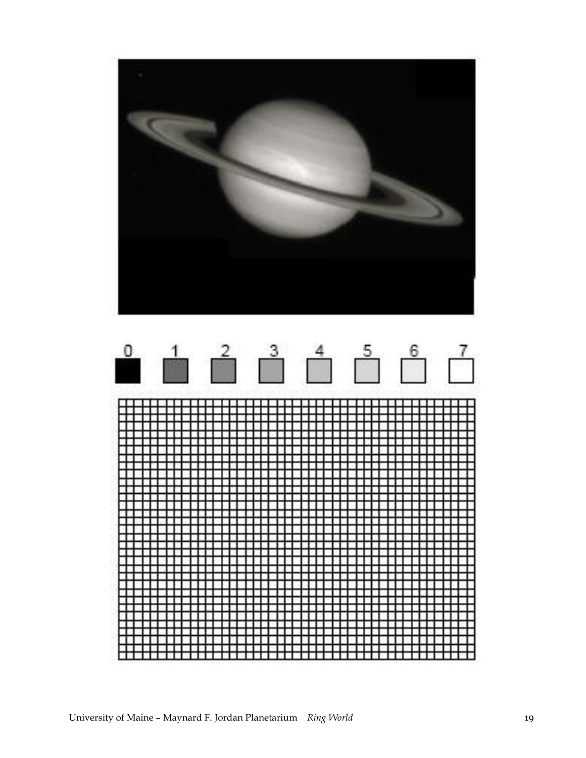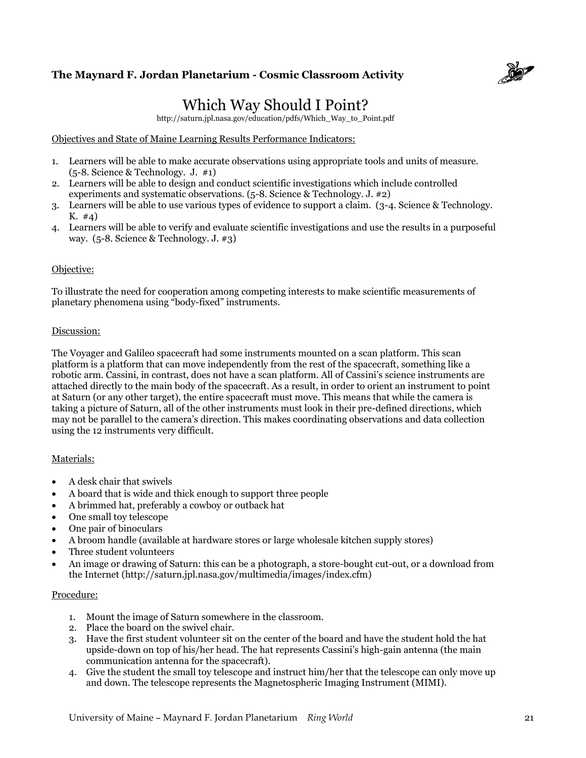

# Which Way Should I Point?

http://saturn.jpl.nasa.gov/education/pdfs/Which\_Way\_to\_Point.pdf

#### Objectives and State of Maine Learning Results Performance Indicators:

- 1. Learners will be able to make accurate observations using appropriate tools and units of measure. (5-8. Science & Technology. J. #1)
- 2. Learners will be able to design and conduct scientific investigations which include controlled experiments and systematic observations. (5-8. Science & Technology. J. #2)
- 3. Learners will be able to use various types of evidence to support a claim. (3-4. Science & Technology. K. #4)
- 4. Learners will be able to verify and evaluate scientific investigations and use the results in a purposeful way. (5-8. Science & Technology. J. #3)

#### Objective:

To illustrate the need for cooperation among competing interests to make scientific measurements of planetary phenomena using "body-fixed" instruments.

#### Discussion:

The Voyager and Galileo spacecraft had some instruments mounted on a scan platform. This scan platform is a platform that can move independently from the rest of the spacecraft, something like a robotic arm. Cassini, in contrast, does not have a scan platform. All of Cassini's science instruments are attached directly to the main body of the spacecraft. As a result, in order to orient an instrument to point at Saturn (or any other target), the entire spacecraft must move. This means that while the camera is taking a picture of Saturn, all of the other instruments must look in their pre-defined directions, which may not be parallel to the camera's direction. This makes coordinating observations and data collection using the 12 instruments very difficult.

#### Materials:

- A desk chair that swivels
- A board that is wide and thick enough to support three people
- A brimmed hat, preferably a cowboy or outback hat
- One small toy telescope
- One pair of binoculars
- A broom handle (available at hardware stores or large wholesale kitchen supply stores)
- Three student volunteers
- An image or drawing of Saturn: this can be a photograph, a store-bought cut-out, or a download from the Internet (http://saturn.jpl.nasa.gov/multimedia/images/index.cfm)

#### Procedure:

- 1. Mount the image of Saturn somewhere in the classroom.
- 2. Place the board on the swivel chair.
- 3. Have the first student volunteer sit on the center of the board and have the student hold the hat upside-down on top of his/her head. The hat represents Cassini's high-gain antenna (the main communication antenna for the spacecraft).
- 4. Give the student the small toy telescope and instruct him/her that the telescope can only move up and down. The telescope represents the Magnetospheric Imaging Instrument (MIMI).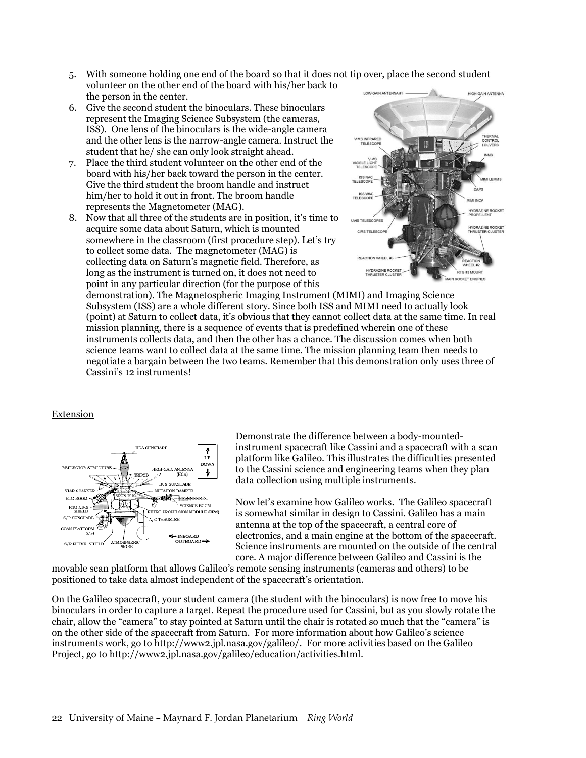5. With someone holding one end of the board so that it does not tip over, place the second student volunteer on the other end of the board with his/her back to

- the person in the center. 6. Give the second student the binoculars. These binoculars represent the Imaging Science Subsystem (the cameras, ISS). One lens of the binoculars is the wide-angle camera and the other lens is the narrow-angle camera. Instruct the student that he/ she can only look straight ahead.
- 7. Place the third student volunteer on the other end of the board with his/her back toward the person in the center. Give the third student the broom handle and instruct him/her to hold it out in front. The broom handle represents the Magnetometer (MAG).
- 8. Now that all three of the students are in position, it's time to acquire some data about Saturn, which is mounted somewhere in the classroom (first procedure step). Let's try to collect some data. The magnetometer (MAG) is collecting data on Saturn's magnetic field. Therefore, as long as the instrument is turned on, it does not need to point in any particular direction (for the purpose of this



demonstration). The Magnetospheric Imaging Instrument (MIMI) and Imaging Science Subsystem (ISS) are a whole different story. Since both ISS and MIMI need to actually look (point) at Saturn to collect data, it's obvious that they cannot collect data at the same time. In real mission planning, there is a sequence of events that is predefined wherein one of these instruments collects data, and then the other has a chance. The discussion comes when both science teams want to collect data at the same time. The mission planning team then needs to negotiate a bargain between the two teams. Remember that this demonstration only uses three of Cassini's 12 instruments!

#### Extension



Demonstrate the difference between a body-mountedinstrument spacecraft like Cassini and a spacecraft with a scan platform like Galileo. This illustrates the difficulties presented to the Cassini science and engineering teams when they plan data collection using multiple instruments.

Now let's examine how Galileo works. The Galileo spacecraft is somewhat similar in design to Cassini. Galileo has a main antenna at the top of the spacecraft, a central core of electronics, and a main engine at the bottom of the spacecraft. Science instruments are mounted on the outside of the central core. A major difference between Galileo and Cassini is the

movable scan platform that allows Galileo's remote sensing instruments (cameras and others) to be positioned to take data almost independent of the spacecraft's orientation.

On the Galileo spacecraft, your student camera (the student with the binoculars) is now free to move his binoculars in order to capture a target. Repeat the procedure used for Cassini, but as you slowly rotate the chair, allow the "camera" to stay pointed at Saturn until the chair is rotated so much that the "camera" is on the other side of the spacecraft from Saturn. For more information about how Galileo's science instruments work, go to http://www2.jpl.nasa.gov/galileo/. For more activities based on the Galileo Project, go to http://www2.jpl.nasa.gov/galileo/education/activities.html.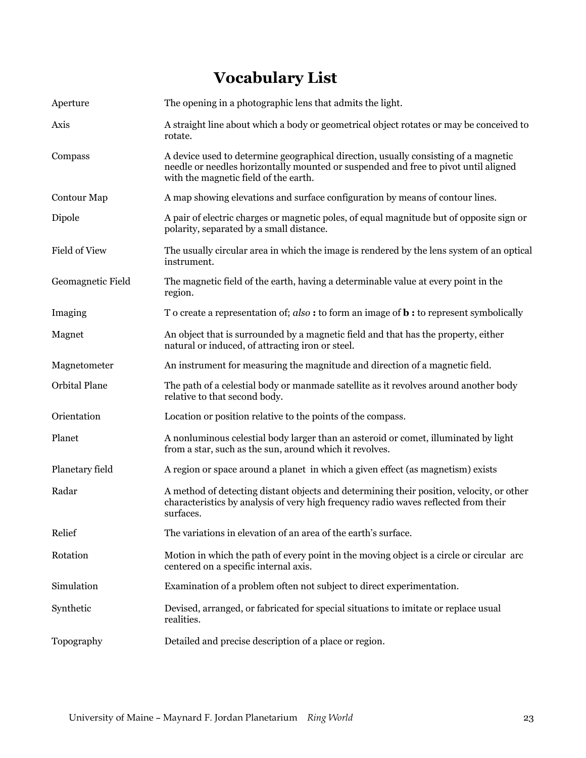# **Vocabulary List**

| Aperture          | The opening in a photographic lens that admits the light.                                                                                                                                                           |
|-------------------|---------------------------------------------------------------------------------------------------------------------------------------------------------------------------------------------------------------------|
| Axis              | A straight line about which a body or geometrical object rotates or may be conceived to<br>rotate.                                                                                                                  |
| Compass           | A device used to determine geographical direction, usually consisting of a magnetic<br>needle or needles horizontally mounted or suspended and free to pivot until aligned<br>with the magnetic field of the earth. |
| Contour Map       | A map showing elevations and surface configuration by means of contour lines.                                                                                                                                       |
| Dipole            | A pair of electric charges or magnetic poles, of equal magnitude but of opposite sign or<br>polarity, separated by a small distance.                                                                                |
| Field of View     | The usually circular area in which the image is rendered by the lens system of an optical<br>instrument.                                                                                                            |
| Geomagnetic Field | The magnetic field of the earth, having a determinable value at every point in the<br>region.                                                                                                                       |
| Imaging           | To create a representation of; $also:$ to form an image of <b>b</b> : to represent symbolically                                                                                                                     |
| Magnet            | An object that is surrounded by a magnetic field and that has the property, either<br>natural or induced, of attracting iron or steel.                                                                              |
| Magnetometer      | An instrument for measuring the magnitude and direction of a magnetic field.                                                                                                                                        |
| Orbital Plane     | The path of a celestial body or manmade satellite as it revolves around another body<br>relative to that second body.                                                                                               |
| Orientation       | Location or position relative to the points of the compass.                                                                                                                                                         |
| Planet            | A nonluminous celestial body larger than an asteroid or comet, illuminated by light<br>from a star, such as the sun, around which it revolves.                                                                      |
| Planetary field   | A region or space around a planet in which a given effect (as magnetism) exists                                                                                                                                     |
| Radar             | A method of detecting distant objects and determining their position, velocity, or other<br>characteristics by analysis of very high frequency radio waves reflected from their<br>surfaces.                        |
| Relief            | The variations in elevation of an area of the earth's surface.                                                                                                                                                      |
| Rotation          | Motion in which the path of every point in the moving object is a circle or circular arc<br>centered on a specific internal axis.                                                                                   |
| Simulation        | Examination of a problem often not subject to direct experimentation.                                                                                                                                               |
| Synthetic         | Devised, arranged, or fabricated for special situations to imitate or replace usual<br>realities.                                                                                                                   |
| Topography        | Detailed and precise description of a place or region.                                                                                                                                                              |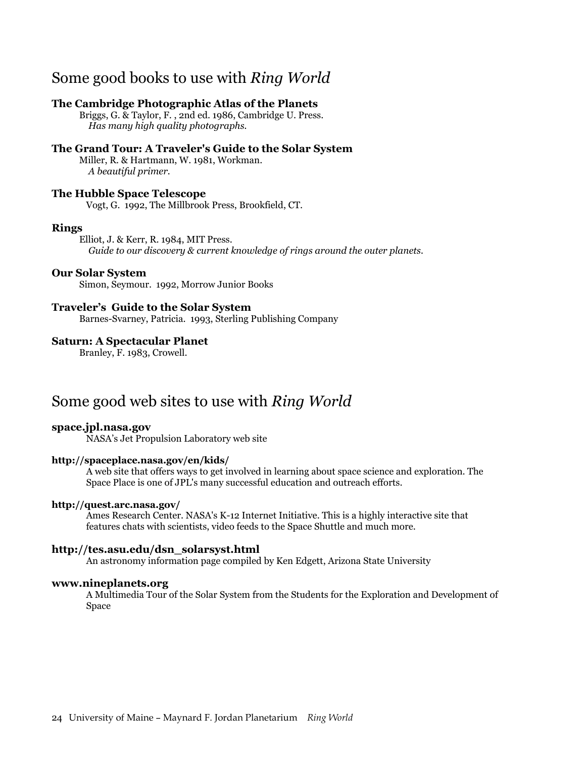# Some good books to use with *Ring World*

#### **The Cambridge Photographic Atlas of the Planets**

 Briggs, G. & Taylor, F. , 2nd ed. 1986, Cambridge U. Press.  *Has many high quality photographs.* 

### **The Grand Tour: A Traveler's Guide to the Solar System**

 Miller, R. & Hartmann, W. 1981, Workman.  *A beautiful primer.* 

#### **The Hubble Space Telescope**

Vogt, G. 1992, The Millbrook Press, Brookfield, CT.

#### **Rings**

 Elliot, J. & Kerr, R. 1984, MIT Press.  *Guide to our discovery & current knowledge of rings around the outer planets.* 

#### **Our Solar System**

Simon, Seymour. 1992, Morrow Junior Books

#### **Traveler's Guide to the Solar System**

Barnes-Svarney, Patricia. 1993, Sterling Publishing Company

#### **Saturn: A Spectacular Planet**

Branley, F. 1983, Crowell.

# Some good web sites to use with *Ring World*

#### **space.jpl.nasa.gov**

NASA's Jet Propulsion Laboratory web site

#### **http://spaceplace.nasa.gov/en/kids/**

A web site that offers ways to get involved in learning about space science and exploration. The Space Place is one of JPL's many successful education and outreach efforts.

#### **http://quest.arc.nasa.gov/**

Ames Research Center. NASA's K-12 Internet Initiative. This is a highly interactive site that features chats with scientists, video feeds to the Space Shuttle and much more.

#### **http://tes.asu.edu/dsn\_solarsyst.html**

An astronomy information page compiled by Ken Edgett, Arizona State University

#### **www.nineplanets.org**

A Multimedia Tour of the Solar System from the Students for the Exploration and Development of Space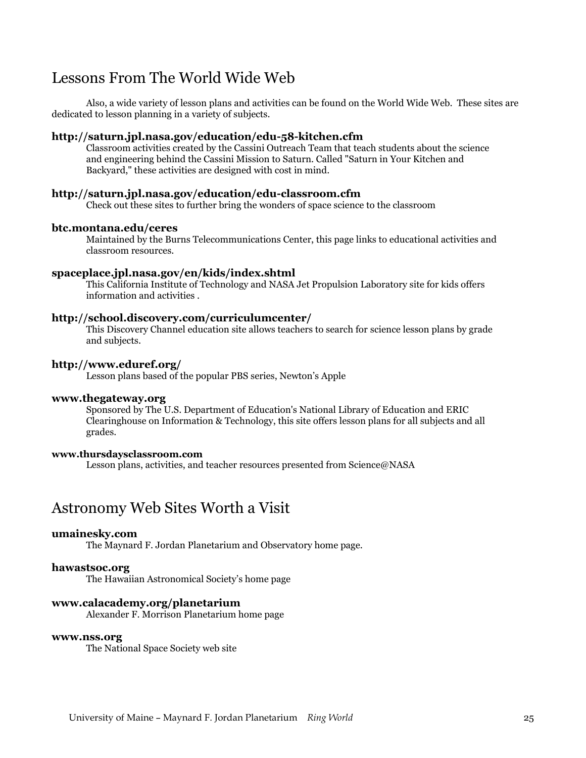# Lessons From The World Wide Web

Also, a wide variety of lesson plans and activities can be found on the World Wide Web. These sites are dedicated to lesson planning in a variety of subjects.

#### **http://saturn.jpl.nasa.gov/education/edu-58-kitchen.cfm**

Classroom activities created by the Cassini Outreach Team that teach students about the science and engineering behind the Cassini Mission to Saturn. Called "Saturn in Your Kitchen and Backyard," these activities are designed with cost in mind.

#### **http://saturn.jpl.nasa.gov/education/edu-classroom.cfm**

Check out these sites to further bring the wonders of space science to the classroom

#### **btc.montana.edu/ceres**

Maintained by the Burns Telecommunications Center, this page links to educational activities and classroom resources.

#### **spaceplace.jpl.nasa.gov/en/kids/index.shtml**

This California Institute of Technology and NASA Jet Propulsion Laboratory site for kids offers information and activities .

#### **http://school.discovery.com/curriculumcenter/**

This Discovery Channel education site allows teachers to search for science lesson plans by grade and subjects.

#### **http://www.eduref.org/**

Lesson plans based of the popular PBS series, Newton's Apple

#### **www.thegateway.org**

Sponsored by The U.S. Department of Education's National Library of Education and ERIC Clearinghouse on Information & Technology, this site offers lesson plans for all subjects and all grades.

#### **www.thursdaysclassroom.com**

Lesson plans, activities, and teacher resources presented from Science@NASA

# Astronomy Web Sites Worth a Visit

#### **umainesky.com**

The Maynard F. Jordan Planetarium and Observatory home page.

#### **hawastsoc.org**

The Hawaiian Astronomical Society's home page

#### **www.calacademy.org/planetarium**

Alexander F. Morrison Planetarium home page

#### **www.nss.org**

The National Space Society web site